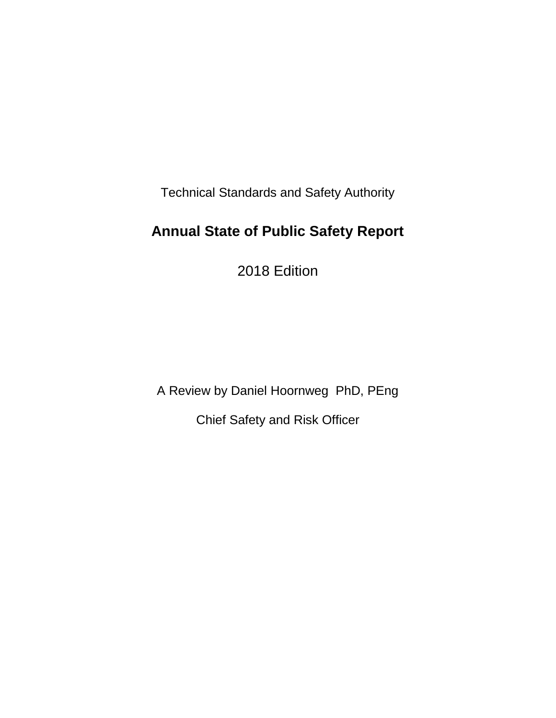Technical Standards and Safety Authority

# **Annual State of Public Safety Report**

2018 Edition

A Review by Daniel Hoornweg PhD, PEng Chief Safety and Risk Officer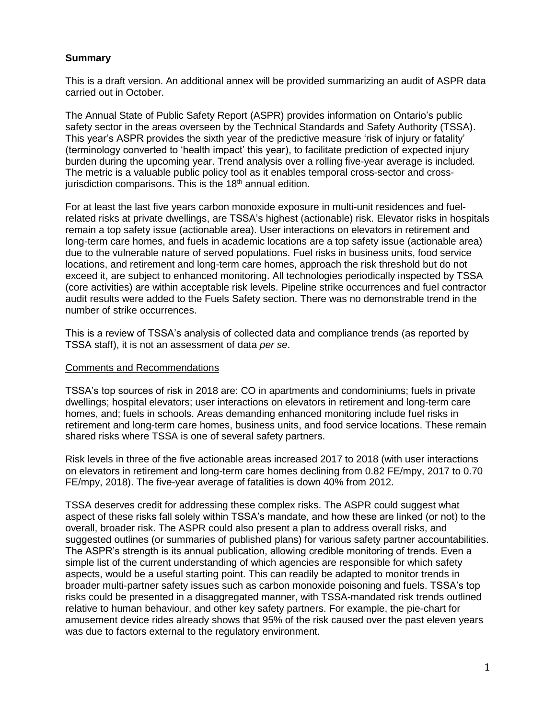#### **Summary**

This is a draft version. An additional annex will be provided summarizing an audit of ASPR data carried out in October.

The Annual State of Public Safety Report (ASPR) provides information on Ontario's public safety sector in the areas overseen by the Technical Standards and Safety Authority (TSSA). This year's ASPR provides the sixth year of the predictive measure 'risk of injury or fatality' (terminology converted to 'health impact' this year), to facilitate prediction of expected injury burden during the upcoming year. Trend analysis over a rolling five-year average is included. The metric is a valuable public policy tool as it enables temporal cross-sector and crossjurisdiction comparisons. This is the  $18<sup>th</sup>$  annual edition.

For at least the last five years carbon monoxide exposure in multi-unit residences and fuelrelated risks at private dwellings, are TSSA's highest (actionable) risk. Elevator risks in hospitals remain a top safety issue (actionable area). User interactions on elevators in retirement and long-term care homes, and fuels in academic locations are a top safety issue (actionable area) due to the vulnerable nature of served populations. Fuel risks in business units, food service locations, and retirement and long-term care homes, approach the risk threshold but do not exceed it, are subject to enhanced monitoring. All technologies periodically inspected by TSSA (core activities) are within acceptable risk levels. Pipeline strike occurrences and fuel contractor audit results were added to the Fuels Safety section. There was no demonstrable trend in the number of strike occurrences.

This is a review of TSSA's analysis of collected data and compliance trends (as reported by TSSA staff), it is not an assessment of data *per se*.

#### Comments and Recommendations

TSSA's top sources of risk in 2018 are: CO in apartments and condominiums; fuels in private dwellings; hospital elevators; user interactions on elevators in retirement and long-term care homes, and; fuels in schools. Areas demanding enhanced monitoring include fuel risks in retirement and long-term care homes, business units, and food service locations. These remain shared risks where TSSA is one of several safety partners.

Risk levels in three of the five actionable areas increased 2017 to 2018 (with user interactions on elevators in retirement and long-term care homes declining from 0.82 FE/mpy, 2017 to 0.70 FE/mpy, 2018). The five-year average of fatalities is down 40% from 2012.

TSSA deserves credit for addressing these complex risks. The ASPR could suggest what aspect of these risks fall solely within TSSA's mandate, and how these are linked (or not) to the overall, broader risk. The ASPR could also present a plan to address overall risks, and suggested outlines (or summaries of published plans) for various safety partner accountabilities. The ASPR's strength is its annual publication, allowing credible monitoring of trends. Even a simple list of the current understanding of which agencies are responsible for which safety aspects, would be a useful starting point. This can readily be adapted to monitor trends in broader multi-partner safety issues such as carbon monoxide poisoning and fuels. TSSA's top risks could be presented in a disaggregated manner, with TSSA-mandated risk trends outlined relative to human behaviour, and other key safety partners. For example, the pie-chart for amusement device rides already shows that 95% of the risk caused over the past eleven years was due to factors external to the regulatory environment.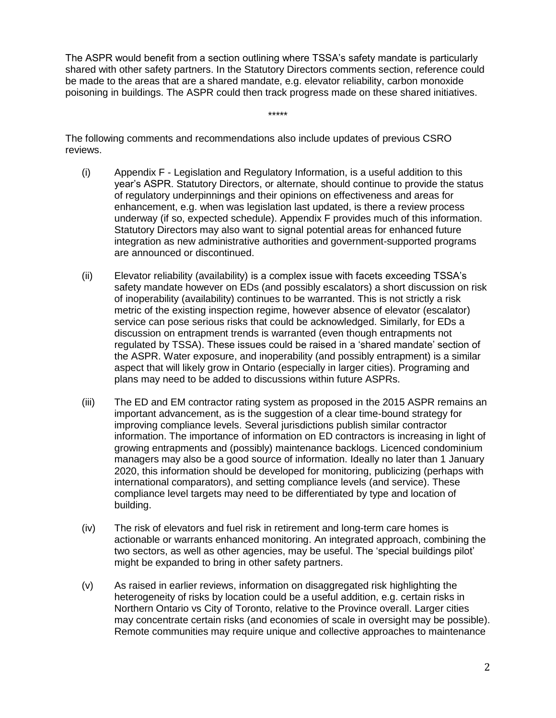The ASPR would benefit from a section outlining where TSSA's safety mandate is particularly shared with other safety partners. In the Statutory Directors comments section, reference could be made to the areas that are a shared mandate, e.g. elevator reliability, carbon monoxide poisoning in buildings. The ASPR could then track progress made on these shared initiatives.

\*\*\*\*\*

The following comments and recommendations also include updates of previous CSRO reviews.

- (i) Appendix F Legislation and Regulatory Information, is a useful addition to this year's ASPR. Statutory Directors, or alternate, should continue to provide the status of regulatory underpinnings and their opinions on effectiveness and areas for enhancement, e.g. when was legislation last updated, is there a review process underway (if so, expected schedule). Appendix F provides much of this information. Statutory Directors may also want to signal potential areas for enhanced future integration as new administrative authorities and government-supported programs are announced or discontinued.
- (ii) Elevator reliability (availability) is a complex issue with facets exceeding TSSA's safety mandate however on EDs (and possibly escalators) a short discussion on risk of inoperability (availability) continues to be warranted. This is not strictly a risk metric of the existing inspection regime, however absence of elevator (escalator) service can pose serious risks that could be acknowledged. Similarly, for EDs a discussion on entrapment trends is warranted (even though entrapments not regulated by TSSA). These issues could be raised in a 'shared mandate' section of the ASPR. Water exposure, and inoperability (and possibly entrapment) is a similar aspect that will likely grow in Ontario (especially in larger cities). Programing and plans may need to be added to discussions within future ASPRs.
- (iii) The ED and EM contractor rating system as proposed in the 2015 ASPR remains an important advancement, as is the suggestion of a clear time-bound strategy for improving compliance levels. Several jurisdictions publish similar contractor information. The importance of information on ED contractors is increasing in light of growing entrapments and (possibly) maintenance backlogs. Licenced condominium managers may also be a good source of information. Ideally no later than 1 January 2020, this information should be developed for monitoring, publicizing (perhaps with international comparators), and setting compliance levels (and service). These compliance level targets may need to be differentiated by type and location of building.
- (iv) The risk of elevators and fuel risk in retirement and long-term care homes is actionable or warrants enhanced monitoring. An integrated approach, combining the two sectors, as well as other agencies, may be useful. The 'special buildings pilot' might be expanded to bring in other safety partners.
- (v) As raised in earlier reviews, information on disaggregated risk highlighting the heterogeneity of risks by location could be a useful addition, e.g. certain risks in Northern Ontario vs City of Toronto, relative to the Province overall. Larger cities may concentrate certain risks (and economies of scale in oversight may be possible). Remote communities may require unique and collective approaches to maintenance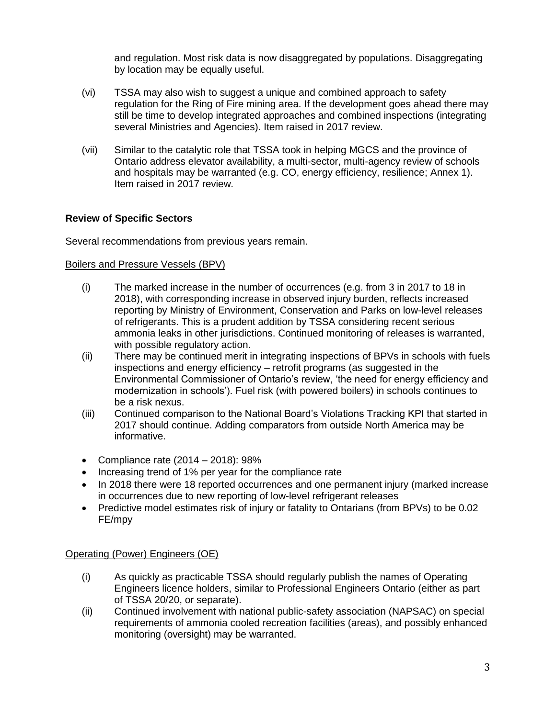and regulation. Most risk data is now disaggregated by populations. Disaggregating by location may be equally useful.

- (vi) TSSA may also wish to suggest a unique and combined approach to safety regulation for the Ring of Fire mining area. If the development goes ahead there may still be time to develop integrated approaches and combined inspections (integrating several Ministries and Agencies). Item raised in 2017 review.
- (vii) Similar to the catalytic role that TSSA took in helping MGCS and the province of Ontario address elevator availability, a multi-sector, multi-agency review of schools and hospitals may be warranted (e.g. CO, energy efficiency, resilience; Annex 1). Item raised in 2017 review.

# **Review of Specific Sectors**

Several recommendations from previous years remain.

#### Boilers and Pressure Vessels (BPV)

- (i) The marked increase in the number of occurrences (e.g. from 3 in 2017 to 18 in 2018), with corresponding increase in observed injury burden, reflects increased reporting by Ministry of Environment, Conservation and Parks on low-level releases of refrigerants. This is a prudent addition by TSSA considering recent serious ammonia leaks in other jurisdictions. Continued monitoring of releases is warranted, with possible regulatory action.
- (ii) There may be continued merit in integrating inspections of BPVs in schools with fuels inspections and energy efficiency – retrofit programs (as suggested in the Environmental Commissioner of Ontario's review, 'the need for energy efficiency and modernization in schools'). Fuel risk (with powered boilers) in schools continues to be a risk nexus.
- (iii) Continued comparison to the National Board's Violations Tracking KPI that started in 2017 should continue. Adding comparators from outside North America may be informative.
- Compliance rate  $(2014 2018)$ : 98%
- Increasing trend of 1% per year for the compliance rate
- In 2018 there were 18 reported occurrences and one permanent injury (marked increase in occurrences due to new reporting of low-level refrigerant releases
- Predictive model estimates risk of injury or fatality to Ontarians (from BPVs) to be 0.02 FE/mpy

#### Operating (Power) Engineers (OE)

- (i) As quickly as practicable TSSA should regularly publish the names of Operating Engineers licence holders, similar to Professional Engineers Ontario (either as part of TSSA 20/20, or separate).
- (ii) Continued involvement with national public-safety association (NAPSAC) on special requirements of ammonia cooled recreation facilities (areas), and possibly enhanced monitoring (oversight) may be warranted.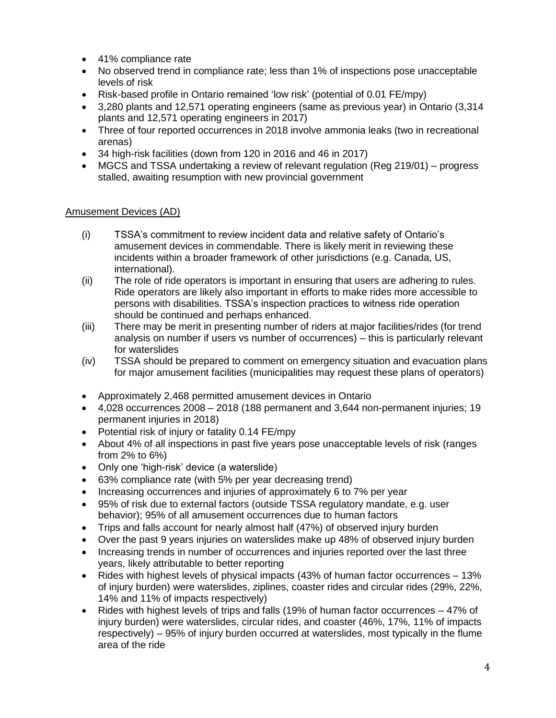- 41% compliance rate
- No observed trend in compliance rate; less than 1% of inspections pose unacceptable levels of risk
- Risk-based profile in Ontario remained 'low risk' (potential of 0.01 FE/mpy)
- 3,280 plants and 12,571 operating engineers (same as previous year) in Ontario (3,314 plants and 12,571 operating engineers in 2017)
- Three of four reported occurrences in 2018 involve ammonia leaks (two in recreational arenas)
- 34 high-risk facilities (down from 120 in 2016 and 46 in 2017)
- MGCS and TSSA undertaking a review of relevant regulation (Reg 219/01) progress stalled, awaiting resumption with new provincial government

# Amusement Devices (AD)

- (i) TSSA's commitment to review incident data and relative safety of Ontario's amusement devices in commendable. There is likely merit in reviewing these incidents within a broader framework of other jurisdictions (e.g. Canada, US, international).
- (ii) The role of ride operators is important in ensuring that users are adhering to rules. Ride operators are likely also important in efforts to make rides more accessible to persons with disabilities. TSSA's inspection practices to witness ride operation should be continued and perhaps enhanced.
- (iii) There may be merit in presenting number of riders at major facilities/rides (for trend analysis on number if users vs number of occurrences) – this is particularly relevant for waterslides
- (iv) TSSA should be prepared to comment on emergency situation and evacuation plans for major amusement facilities (municipalities may request these plans of operators)
- Approximately 2,468 permitted amusement devices in Ontario
- 4,028 occurrences 2008 2018 (188 permanent and 3,644 non-permanent injuries; 19 permanent injuries in 2018)
- Potential risk of injury or fatality 0.14 FE/mpy
- About 4% of all inspections in past five years pose unacceptable levels of risk (ranges from 2% to 6%)
- Only one 'high-risk' device (a waterslide)
- 63% compliance rate (with 5% per year decreasing trend)
- Increasing occurrences and injuries of approximately 6 to 7% per year
- 95% of risk due to external factors (outside TSSA regulatory mandate, e.g. user behavior); 95% of all amusement occurrences due to human factors
- Trips and falls account for nearly almost half (47%) of observed injury burden
- Over the past 9 years injuries on waterslides make up 48% of observed injury burden
- Increasing trends in number of occurrences and injuries reported over the last three years, likely attributable to better reporting
- Rides with highest levels of physical impacts (43% of human factor occurrences 13% of injury burden) were waterslides, ziplines, coaster rides and circular rides (29%, 22%, 14% and 11% of impacts respectively)
- Rides with highest levels of trips and falls (19% of human factor occurrences 47% of injury burden) were waterslides, circular rides, and coaster (46%, 17%, 11% of impacts respectively) – 95% of injury burden occurred at waterslides, most typically in the flume area of the ride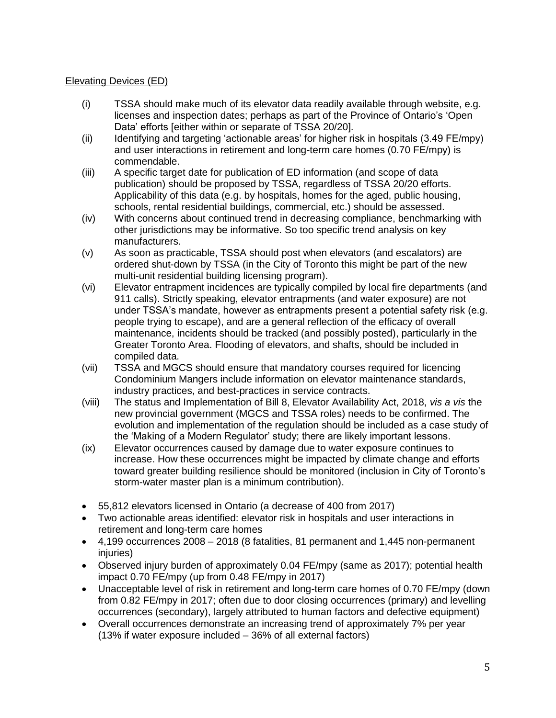# Elevating Devices (ED)

- (i) TSSA should make much of its elevator data readily available through website, e.g. licenses and inspection dates; perhaps as part of the Province of Ontario's 'Open Data' efforts [either within or separate of TSSA 20/20].
- (ii) Identifying and targeting 'actionable areas' for higher risk in hospitals (3.49 FE/mpy) and user interactions in retirement and long-term care homes (0.70 FE/mpy) is commendable.
- (iii) A specific target date for publication of ED information (and scope of data publication) should be proposed by TSSA, regardless of TSSA 20/20 efforts. Applicability of this data (e.g. by hospitals, homes for the aged, public housing, schools, rental residential buildings, commercial, etc.) should be assessed.
- (iv) With concerns about continued trend in decreasing compliance, benchmarking with other jurisdictions may be informative. So too specific trend analysis on key manufacturers.
- (v) As soon as practicable, TSSA should post when elevators (and escalators) are ordered shut-down by TSSA (in the City of Toronto this might be part of the new multi-unit residential building licensing program).
- (vi) Elevator entrapment incidences are typically compiled by local fire departments (and 911 calls). Strictly speaking, elevator entrapments (and water exposure) are not under TSSA's mandate, however as entrapments present a potential safety risk (e.g. people trying to escape), and are a general reflection of the efficacy of overall maintenance, incidents should be tracked (and possibly posted), particularly in the Greater Toronto Area. Flooding of elevators, and shafts, should be included in compiled data.
- (vii) TSSA and MGCS should ensure that mandatory courses required for licencing Condominium Mangers include information on elevator maintenance standards, industry practices, and best-practices in service contracts.
- (viii) The status and Implementation of Bill 8, Elevator Availability Act, 2018, *vis a vis* the new provincial government (MGCS and TSSA roles) needs to be confirmed. The evolution and implementation of the regulation should be included as a case study of the 'Making of a Modern Regulator' study; there are likely important lessons.
- (ix) Elevator occurrences caused by damage due to water exposure continues to increase. How these occurrences might be impacted by climate change and efforts toward greater building resilience should be monitored (inclusion in City of Toronto's storm-water master plan is a minimum contribution).
- 55,812 elevators licensed in Ontario (a decrease of 400 from 2017)
- Two actionable areas identified: elevator risk in hospitals and user interactions in retirement and long-term care homes
- 4,199 occurrences 2008 2018 (8 fatalities, 81 permanent and 1,445 non-permanent injuries)
- Observed injury burden of approximately 0.04 FE/mpy (same as 2017); potential health impact 0.70 FE/mpy (up from 0.48 FE/mpy in 2017)
- Unacceptable level of risk in retirement and long-term care homes of 0.70 FE/mpy (down from 0.82 FE/mpy in 2017; often due to door closing occurrences (primary) and levelling occurrences (secondary), largely attributed to human factors and defective equipment)
- Overall occurrences demonstrate an increasing trend of approximately 7% per year (13% if water exposure included – 36% of all external factors)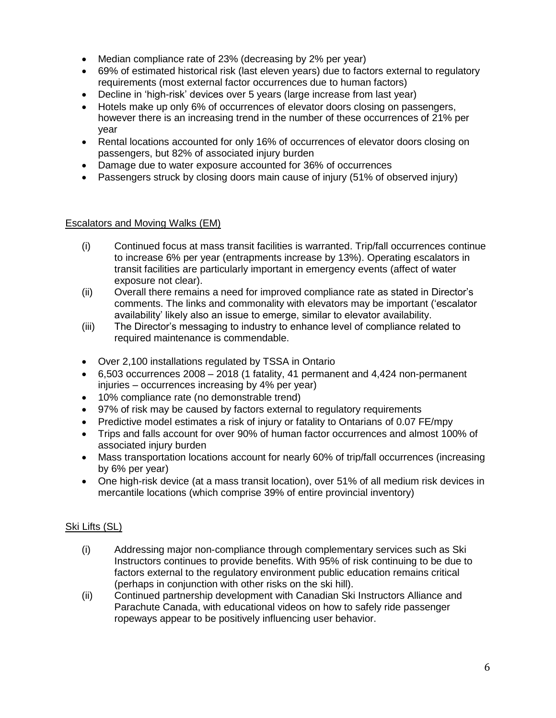- Median compliance rate of 23% (decreasing by 2% per year)
- 69% of estimated historical risk (last eleven years) due to factors external to regulatory requirements (most external factor occurrences due to human factors)
- Decline in 'high-risk' devices over 5 years (large increase from last year)
- Hotels make up only 6% of occurrences of elevator doors closing on passengers, however there is an increasing trend in the number of these occurrences of 21% per year
- Rental locations accounted for only 16% of occurrences of elevator doors closing on passengers, but 82% of associated injury burden
- Damage due to water exposure accounted for 36% of occurrences
- Passengers struck by closing doors main cause of injury (51% of observed injury)

# Escalators and Moving Walks (EM)

- (i) Continued focus at mass transit facilities is warranted. Trip/fall occurrences continue to increase 6% per year (entrapments increase by 13%). Operating escalators in transit facilities are particularly important in emergency events (affect of water exposure not clear).
- (ii) Overall there remains a need for improved compliance rate as stated in Director's comments. The links and commonality with elevators may be important ('escalator availability' likely also an issue to emerge, similar to elevator availability.
- (iii) The Director's messaging to industry to enhance level of compliance related to required maintenance is commendable.
- Over 2,100 installations regulated by TSSA in Ontario
- 6,503 occurrences 2008 2018 (1 fatality, 41 permanent and 4,424 non-permanent injuries – occurrences increasing by 4% per year)
- 10% compliance rate (no demonstrable trend)
- 97% of risk may be caused by factors external to regulatory requirements
- Predictive model estimates a risk of injury or fatality to Ontarians of 0.07 FE/mpy
- Trips and falls account for over 90% of human factor occurrences and almost 100% of associated injury burden
- Mass transportation locations account for nearly 60% of trip/fall occurrences (increasing by 6% per year)
- One high-risk device (at a mass transit location), over 51% of all medium risk devices in mercantile locations (which comprise 39% of entire provincial inventory)

# Ski Lifts (SL)

- (i) Addressing major non-compliance through complementary services such as Ski Instructors continues to provide benefits. With 95% of risk continuing to be due to factors external to the regulatory environment public education remains critical (perhaps in conjunction with other risks on the ski hill).
- (ii) Continued partnership development with Canadian Ski Instructors Alliance and Parachute Canada, with educational videos on how to safely ride passenger ropeways appear to be positively influencing user behavior.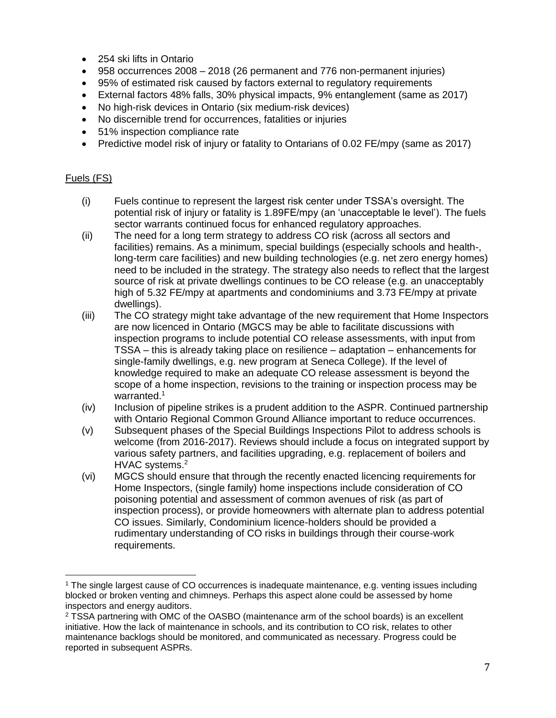- 254 ski lifts in Ontario
- 958 occurrences 2008 2018 (26 permanent and 776 non-permanent injuries)
- 95% of estimated risk caused by factors external to regulatory requirements
- External factors 48% falls, 30% physical impacts, 9% entanglement (same as 2017)
- No high-risk devices in Ontario (six medium-risk devices)
- No discernible trend for occurrences, fatalities or injuries
- 51% inspection compliance rate
- Predictive model risk of injury or fatality to Ontarians of 0.02 FE/mpy (same as 2017)

### Fuels (FS)

 $\overline{a}$ 

- (i) Fuels continue to represent the largest risk center under TSSA's oversight. The potential risk of injury or fatality is 1.89FE/mpy (an 'unacceptable le level'). The fuels sector warrants continued focus for enhanced regulatory approaches.
- (ii) The need for a long term strategy to address CO risk (across all sectors and facilities) remains. As a minimum, special buildings (especially schools and health-, long-term care facilities) and new building technologies (e.g. net zero energy homes) need to be included in the strategy. The strategy also needs to reflect that the largest source of risk at private dwellings continues to be CO release (e.g. an unacceptably high of 5.32 FE/mpy at apartments and condominiums and 3.73 FE/mpy at private dwellings).
- (iii) The CO strategy might take advantage of the new requirement that Home Inspectors are now licenced in Ontario (MGCS may be able to facilitate discussions with inspection programs to include potential CO release assessments, with input from TSSA – this is already taking place on resilience – adaptation – enhancements for single-family dwellings, e.g. new program at Seneca College). If the level of knowledge required to make an adequate CO release assessment is beyond the scope of a home inspection, revisions to the training or inspection process may be warranted.<sup>1</sup>
- (iv) Inclusion of pipeline strikes is a prudent addition to the ASPR. Continued partnership with Ontario Regional Common Ground Alliance important to reduce occurrences.
- (v) Subsequent phases of the Special Buildings Inspections Pilot to address schools is welcome (from 2016-2017). Reviews should include a focus on integrated support by various safety partners, and facilities upgrading, e.g. replacement of boilers and HVAC systems.<sup>2</sup>
- (vi) MGCS should ensure that through the recently enacted licencing requirements for Home Inspectors, (single family) home inspections include consideration of CO poisoning potential and assessment of common avenues of risk (as part of inspection process), or provide homeowners with alternate plan to address potential CO issues. Similarly, Condominium licence-holders should be provided a rudimentary understanding of CO risks in buildings through their course-work requirements.

<sup>1</sup> The single largest cause of CO occurrences is inadequate maintenance, e.g. venting issues including blocked or broken venting and chimneys. Perhaps this aspect alone could be assessed by home inspectors and energy auditors.

<sup>2</sup> TSSA partnering with OMC of the OASBO (maintenance arm of the school boards) is an excellent initiative. How the lack of maintenance in schools, and its contribution to CO risk, relates to other maintenance backlogs should be monitored, and communicated as necessary. Progress could be reported in subsequent ASPRs.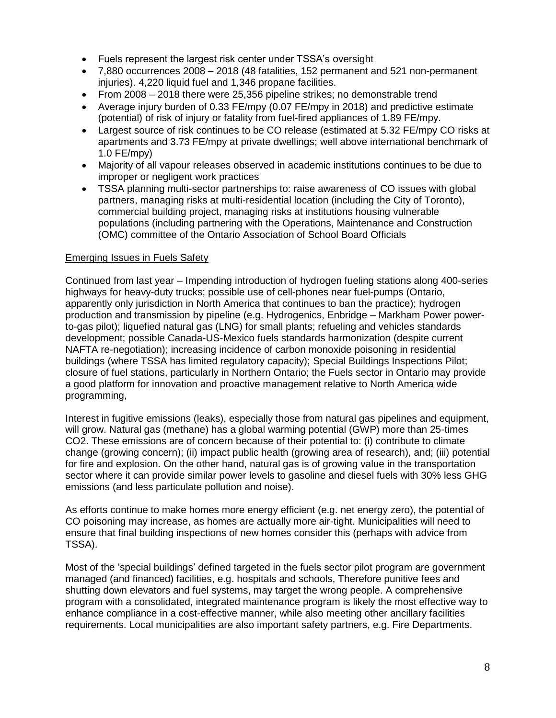- Fuels represent the largest risk center under TSSA's oversight
- 7,880 occurrences 2008 2018 (48 fatalities, 152 permanent and 521 non-permanent injuries). 4,220 liquid fuel and 1,346 propane facilities.
- From 2008 2018 there were 25,356 pipeline strikes; no demonstrable trend
- Average injury burden of 0.33 FE/mpy (0.07 FE/mpy in 2018) and predictive estimate (potential) of risk of injury or fatality from fuel-fired appliances of 1.89 FE/mpy.
- Largest source of risk continues to be CO release (estimated at 5.32 FE/mpy CO risks at apartments and 3.73 FE/mpy at private dwellings; well above international benchmark of 1.0 FE/mpy)
- Majority of all vapour releases observed in academic institutions continues to be due to improper or negligent work practices
- TSSA planning multi-sector partnerships to: raise awareness of CO issues with global partners, managing risks at multi-residential location (including the City of Toronto), commercial building project, managing risks at institutions housing vulnerable populations (including partnering with the Operations, Maintenance and Construction (OMC) committee of the Ontario Association of School Board Officials

# Emerging Issues in Fuels Safety

Continued from last year – Impending introduction of hydrogen fueling stations along 400-series highways for heavy-duty trucks; possible use of cell-phones near fuel-pumps (Ontario, apparently only jurisdiction in North America that continues to ban the practice); hydrogen production and transmission by pipeline (e.g. Hydrogenics, Enbridge – Markham Power powerto-gas pilot); liquefied natural gas (LNG) for small plants; refueling and vehicles standards development; possible Canada-US-Mexico fuels standards harmonization (despite current NAFTA re-negotiation); increasing incidence of carbon monoxide poisoning in residential buildings (where TSSA has limited regulatory capacity); Special Buildings Inspections Pilot; closure of fuel stations, particularly in Northern Ontario; the Fuels sector in Ontario may provide a good platform for innovation and proactive management relative to North America wide programming,

Interest in fugitive emissions (leaks), especially those from natural gas pipelines and equipment, will grow. Natural gas (methane) has a global warming potential (GWP) more than 25-times CO2. These emissions are of concern because of their potential to: (i) contribute to climate change (growing concern); (ii) impact public health (growing area of research), and; (iii) potential for fire and explosion. On the other hand, natural gas is of growing value in the transportation sector where it can provide similar power levels to gasoline and diesel fuels with 30% less GHG emissions (and less particulate pollution and noise).

As efforts continue to make homes more energy efficient (e.g. net energy zero), the potential of CO poisoning may increase, as homes are actually more air-tight. Municipalities will need to ensure that final building inspections of new homes consider this (perhaps with advice from TSSA).

Most of the 'special buildings' defined targeted in the fuels sector pilot program are government managed (and financed) facilities, e.g. hospitals and schools, Therefore punitive fees and shutting down elevators and fuel systems, may target the wrong people. A comprehensive program with a consolidated, integrated maintenance program is likely the most effective way to enhance compliance in a cost-effective manner, while also meeting other ancillary facilities requirements. Local municipalities are also important safety partners, e.g. Fire Departments.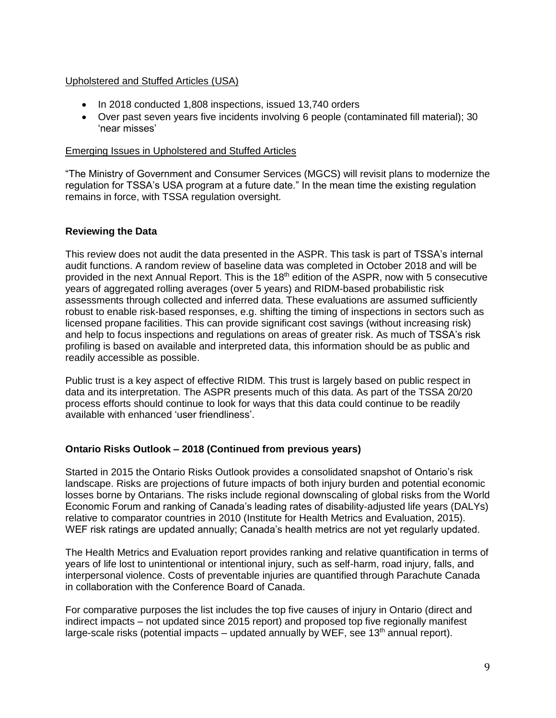#### Upholstered and Stuffed Articles (USA)

- In 2018 conducted 1,808 inspections, issued 13,740 orders
- Over past seven years five incidents involving 6 people (contaminated fill material); 30 'near misses'

#### Emerging Issues in Upholstered and Stuffed Articles

"The Ministry of Government and Consumer Services (MGCS) will revisit plans to modernize the regulation for TSSA's USA program at a future date." In the mean time the existing regulation remains in force, with TSSA regulation oversight.

#### **Reviewing the Data**

This review does not audit the data presented in the ASPR. This task is part of TSSA's internal audit functions. A random review of baseline data was completed in October 2018 and will be provided in the next Annual Report. This is the 18<sup>th</sup> edition of the ASPR, now with 5 consecutive years of aggregated rolling averages (over 5 years) and RIDM-based probabilistic risk assessments through collected and inferred data. These evaluations are assumed sufficiently robust to enable risk-based responses, e.g. shifting the timing of inspections in sectors such as licensed propane facilities. This can provide significant cost savings (without increasing risk) and help to focus inspections and regulations on areas of greater risk. As much of TSSA's risk profiling is based on available and interpreted data, this information should be as public and readily accessible as possible.

Public trust is a key aspect of effective RIDM. This trust is largely based on public respect in data and its interpretation. The ASPR presents much of this data. As part of the TSSA 20/20 process efforts should continue to look for ways that this data could continue to be readily available with enhanced 'user friendliness'.

#### **Ontario Risks Outlook – 2018 (Continued from previous years)**

Started in 2015 the Ontario Risks Outlook provides a consolidated snapshot of Ontario's risk landscape. Risks are projections of future impacts of both injury burden and potential economic losses borne by Ontarians. The risks include regional downscaling of global risks from the World Economic Forum and ranking of Canada's leading rates of disability-adjusted life years (DALYs) relative to comparator countries in 2010 (Institute for Health Metrics and Evaluation, 2015). WEF risk ratings are updated annually; Canada's health metrics are not yet regularly updated.

The Health Metrics and Evaluation report provides ranking and relative quantification in terms of years of life lost to unintentional or intentional injury, such as self-harm, road injury, falls, and interpersonal violence. Costs of preventable injuries are quantified through Parachute Canada in collaboration with the Conference Board of Canada.

For comparative purposes the list includes the top five causes of injury in Ontario (direct and indirect impacts – not updated since 2015 report) and proposed top five regionally manifest large-scale risks (potential impacts – updated annually by WEF, see 13<sup>th</sup> annual report).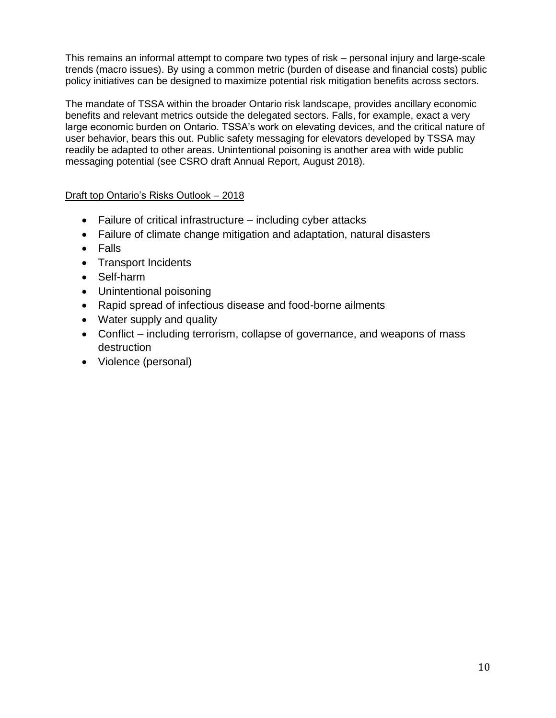This remains an informal attempt to compare two types of risk – personal injury and large-scale trends (macro issues). By using a common metric (burden of disease and financial costs) public policy initiatives can be designed to maximize potential risk mitigation benefits across sectors.

The mandate of TSSA within the broader Ontario risk landscape, provides ancillary economic benefits and relevant metrics outside the delegated sectors. Falls, for example, exact a very large economic burden on Ontario. TSSA's work on elevating devices, and the critical nature of user behavior, bears this out. Public safety messaging for elevators developed by TSSA may readily be adapted to other areas. Unintentional poisoning is another area with wide public messaging potential (see CSRO draft Annual Report, August 2018).

# Draft top Ontario's Risks Outlook – 2018

- Failure of critical infrastructure including cyber attacks
- Failure of climate change mitigation and adaptation, natural disasters
- Falls
- Transport Incidents
- Self-harm
- Unintentional poisoning
- Rapid spread of infectious disease and food-borne ailments
- Water supply and quality
- Conflict including terrorism, collapse of governance, and weapons of mass destruction
- Violence (personal)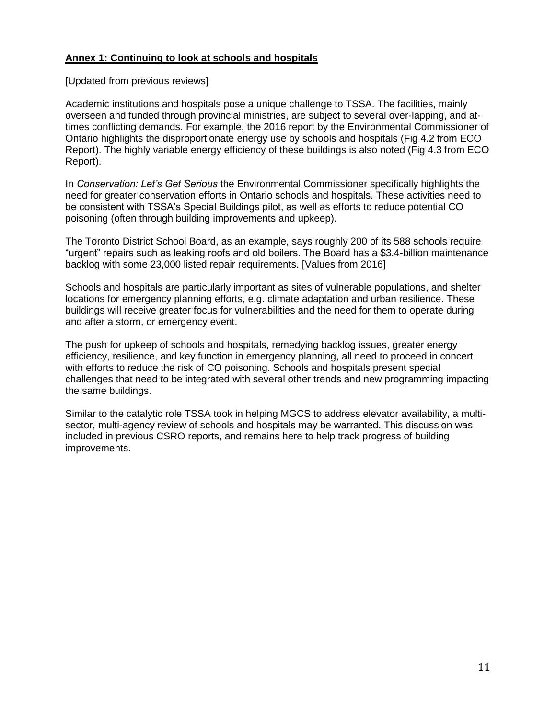# **Annex 1: Continuing to look at schools and hospitals**

#### [Updated from previous reviews]

Academic institutions and hospitals pose a unique challenge to TSSA. The facilities, mainly overseen and funded through provincial ministries, are subject to several over-lapping, and attimes conflicting demands. For example, the 2016 report by the Environmental Commissioner of Ontario highlights the disproportionate energy use by schools and hospitals (Fig 4.2 from ECO Report). The highly variable energy efficiency of these buildings is also noted (Fig 4.3 from ECO Report).

In *Conservation: Let's Get Serious* the Environmental Commissioner specifically highlights the need for greater conservation efforts in Ontario schools and hospitals. These activities need to be consistent with TSSA's Special Buildings pilot, as well as efforts to reduce potential CO poisoning (often through building improvements and upkeep).

The Toronto District School Board, as an example, says roughly 200 of its 588 schools require "urgent" repairs such as leaking roofs and old boilers. The Board has a \$3.4-billion maintenance backlog with some 23,000 listed repair requirements. [Values from 2016]

Schools and hospitals are particularly important as sites of vulnerable populations, and shelter locations for emergency planning efforts, e.g. climate adaptation and urban resilience. These buildings will receive greater focus for vulnerabilities and the need for them to operate during and after a storm, or emergency event.

The push for upkeep of schools and hospitals, remedying backlog issues, greater energy efficiency, resilience, and key function in emergency planning, all need to proceed in concert with efforts to reduce the risk of CO poisoning. Schools and hospitals present special challenges that need to be integrated with several other trends and new programming impacting the same buildings.

Similar to the catalytic role TSSA took in helping MGCS to address elevator availability, a multisector, multi-agency review of schools and hospitals may be warranted. This discussion was included in previous CSRO reports, and remains here to help track progress of building improvements.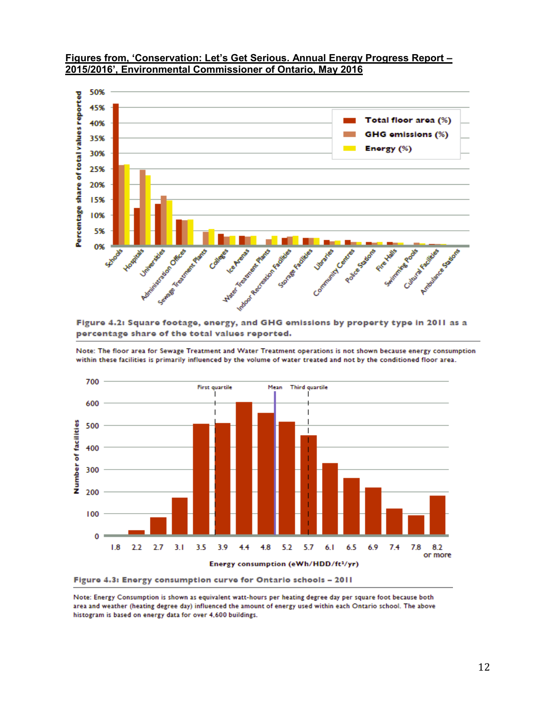

#### **Figures from, 'Conservation: Let's Get Serious. Annual Energy Progress Report – 2015/2016', Environmental Commissioner of Ontario, May 2016**

Figure 4.2: Square footage, energy, and GHG emissions by property type in 2011 as a percentage share of the total values reported.

Note: The floor area for Sewage Treatment and Water Treatment operations is not shown because energy consumption within these facilities is primarily influenced by the volume of water treated and not by the conditioned floor area.



Note: Energy Consumption is shown as equivalent watt-hours per heating degree day per square foot because both area and weather (heating degree day) influenced the amount of energy used within each Ontario school. The above histogram is based on energy data for over 4,600 buildings.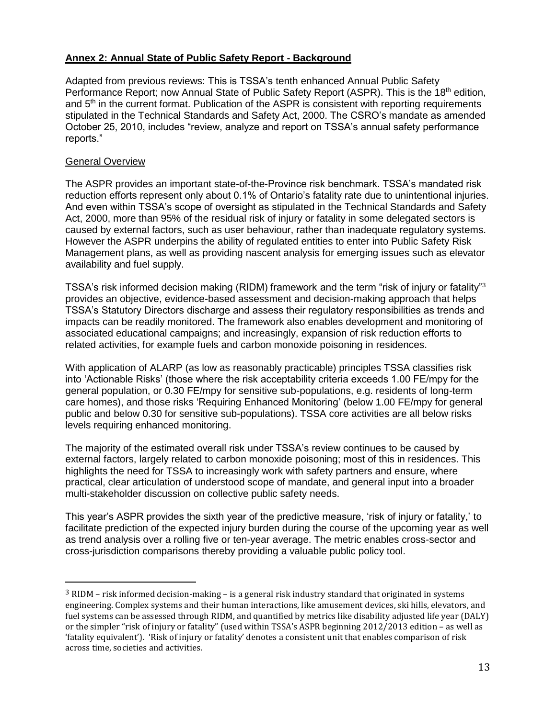### **Annex 2: Annual State of Public Safety Report - Background**

Adapted from previous reviews: This is TSSA's tenth enhanced Annual Public Safety Performance Report; now Annual State of Public Safety Report (ASPR). This is the 18<sup>th</sup> edition, and 5<sup>th</sup> in the current format. Publication of the ASPR is consistent with reporting requirements stipulated in the Technical Standards and Safety Act, 2000. The CSRO's mandate as amended October 25, 2010, includes "review, analyze and report on TSSA's annual safety performance reports."

#### General Overview

 $\overline{a}$ 

The ASPR provides an important state-of-the-Province risk benchmark. TSSA's mandated risk reduction efforts represent only about 0.1% of Ontario's fatality rate due to unintentional injuries. And even within TSSA's scope of oversight as stipulated in the Technical Standards and Safety Act, 2000, more than 95% of the residual risk of injury or fatality in some delegated sectors is caused by external factors, such as user behaviour, rather than inadequate regulatory systems. However the ASPR underpins the ability of regulated entities to enter into Public Safety Risk Management plans, as well as providing nascent analysis for emerging issues such as elevator availability and fuel supply.

TSSA's risk informed decision making (RIDM) framework and the term "risk of injury or fatality"<sup>3</sup> provides an objective, evidence-based assessment and decision-making approach that helps TSSA's Statutory Directors discharge and assess their regulatory responsibilities as trends and impacts can be readily monitored. The framework also enables development and monitoring of associated educational campaigns; and increasingly, expansion of risk reduction efforts to related activities, for example fuels and carbon monoxide poisoning in residences.

With application of ALARP (as low as reasonably practicable) principles TSSA classifies risk into 'Actionable Risks' (those where the risk acceptability criteria exceeds 1.00 FE/mpy for the general population, or 0.30 FE/mpy for sensitive sub-populations, e.g. residents of long-term care homes), and those risks 'Requiring Enhanced Monitoring' (below 1.00 FE/mpy for general public and below 0.30 for sensitive sub-populations). TSSA core activities are all below risks levels requiring enhanced monitoring.

The majority of the estimated overall risk under TSSA's review continues to be caused by external factors, largely related to carbon monoxide poisoning; most of this in residences. This highlights the need for TSSA to increasingly work with safety partners and ensure, where practical, clear articulation of understood scope of mandate, and general input into a broader multi-stakeholder discussion on collective public safety needs.

This year's ASPR provides the sixth year of the predictive measure, 'risk of injury or fatality,' to facilitate prediction of the expected injury burden during the course of the upcoming year as well as trend analysis over a rolling five or ten-year average. The metric enables cross-sector and cross-jurisdiction comparisons thereby providing a valuable public policy tool.

 $3$  RIDM – risk informed decision-making – is a general risk industry standard that originated in systems engineering. Complex systems and their human interactions, like amusement devices, ski hills, elevators, and fuel systems can be assessed through RIDM, and quantified by metrics like disability adjusted life year (DALY) or the simpler "risk of injury or fatality" (used within TSSA's ASPR beginning 2012/2013 edition – as well as 'fatality equivalent'). 'Risk of injury or fatality' denotes a consistent unit that enables comparison of risk across time, societies and activities.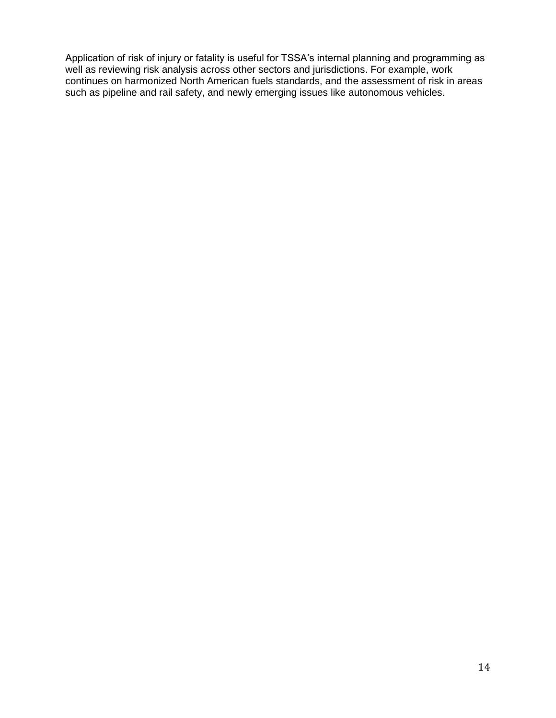Application of risk of injury or fatality is useful for TSSA's internal planning and programming as well as reviewing risk analysis across other sectors and jurisdictions. For example, work continues on harmonized North American fuels standards, and the assessment of risk in areas such as pipeline and rail safety, and newly emerging issues like autonomous vehicles.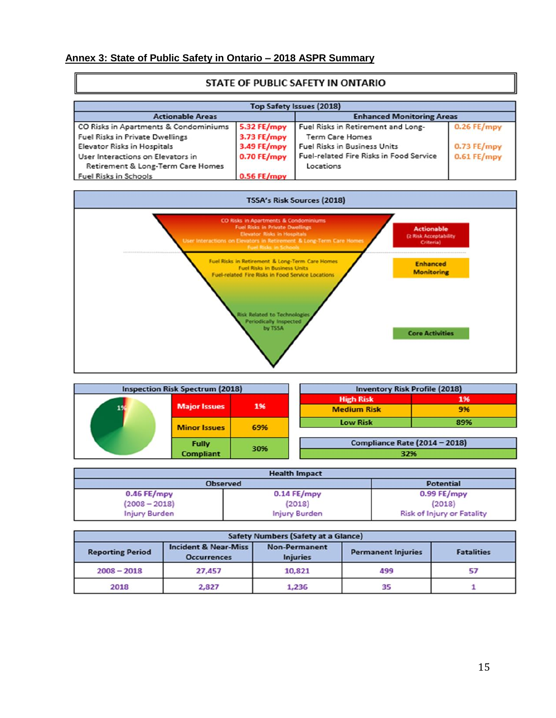# **Annex 3: State of Public Safety in Ontario – 2018 ASPR Summary**

ſ

| <b>STATE OF PUBLIC SAFETT IN ONTAINO</b><br><b>Top Safety Issues (2018)</b> |               |                                         |             |  |  |  |  |
|-----------------------------------------------------------------------------|---------------|-----------------------------------------|-------------|--|--|--|--|
|                                                                             |               |                                         |             |  |  |  |  |
| CO Risks in Apartments & Condominiums                                       | 5.32 FE/mpy   | Fuel Risks in Retirement and Long-      | 0.26 FE/mpy |  |  |  |  |
| <b>Fuel Risks in Private Dwellings</b>                                      | 3.73 FE/mpy   | <b>Term Care Homes</b>                  |             |  |  |  |  |
| Elevator Risks in Hospitals                                                 | 3.49 FE/mpy   | <b>Fuel Risks in Business Units</b>     | 0.73 FE/mpy |  |  |  |  |
| User Interactions on Elevators in                                           | $0.70$ FE/mpy | Fuel-related Fire Risks in Food Service | 0.61 FE/mpy |  |  |  |  |
| Retirement & Long-Term Care Homes                                           |               | Locations                               |             |  |  |  |  |
| Fuel Risks in Schools                                                       | 0.56 FE/mpy   |                                         |             |  |  |  |  |



|  | <b>Inspection Risk Spectrum (2018)</b> |     | <b>Inventory Risk Profile (2018)</b> |     |
|--|----------------------------------------|-----|--------------------------------------|-----|
|  | <b>Major Issues</b>                    | 1%  | <b>High Risk</b>                     | 196 |
|  |                                        |     | <b>Medium Risk</b>                   | 9%  |
|  | <b>Minor Issues</b>                    | 69% | <b>Low Risk</b>                      | 89% |
|  | <b>Fully</b>                           |     | Compliance Rate (2014 - 2018)        |     |
|  | <b>Compliant</b>                       | 30% | 32%                                  |     |

| <b>Health Impact</b> |                      |                                   |  |  |  |
|----------------------|----------------------|-----------------------------------|--|--|--|
| <b>Observed</b>      |                      | <b>Potential</b>                  |  |  |  |
| 0.46 FE/mpy          | $0.14$ FE/mpy        | $0.99$ FE/mpy                     |  |  |  |
| $(2008 - 2018)$      | (2018)               | (2018)                            |  |  |  |
| <b>Injury Burden</b> | <b>Injury Burden</b> | <b>Risk of Injury or Fatality</b> |  |  |  |

| Safety Numbers (Safety at a Glance) |                                                       |                                                                      |     |                   |  |  |
|-------------------------------------|-------------------------------------------------------|----------------------------------------------------------------------|-----|-------------------|--|--|
| <b>Reporting Period</b>             | <b>Incident &amp; Near-Miss</b><br><b>Occurrences</b> | <b>Non-Permanent</b><br><b>Permanent Injuries</b><br><b>Injuries</b> |     | <b>Fatalities</b> |  |  |
| $2008 - 2018$                       | 27,457                                                | 10,821                                                               | 499 | 57                |  |  |
| 2018                                | 2,827                                                 | 1,236                                                                | 35  |                   |  |  |

### STATE OF BURLIC SAFETY IN ONTARIO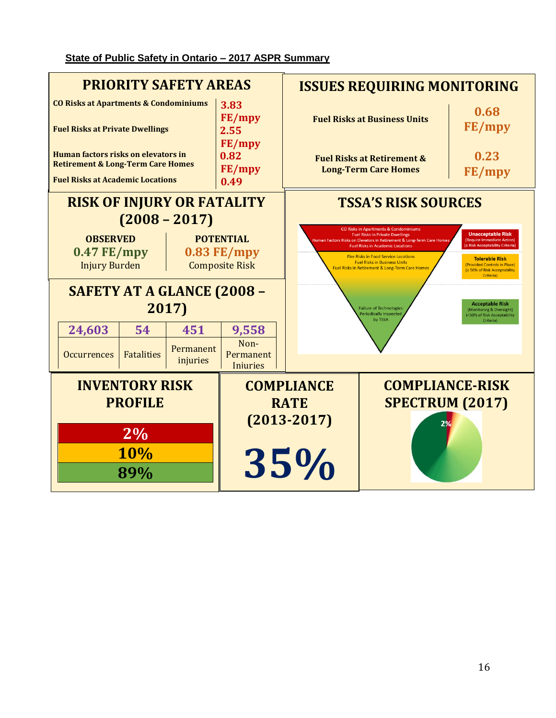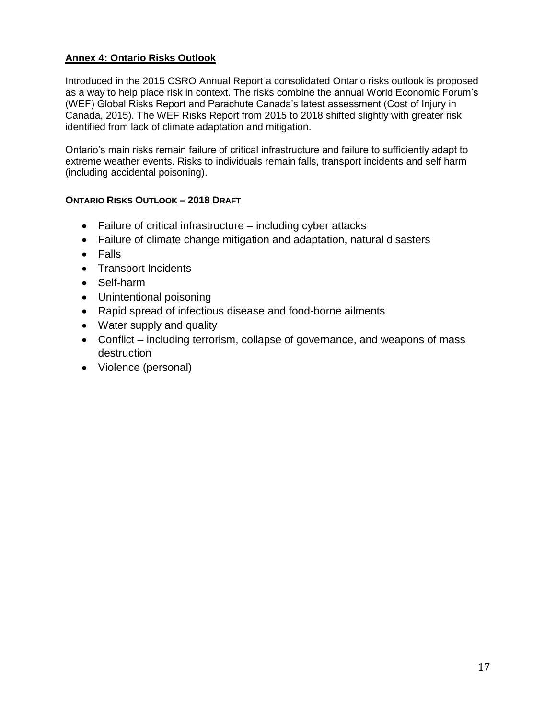# **Annex 4: Ontario Risks Outlook**

Introduced in the 2015 CSRO Annual Report a consolidated Ontario risks outlook is proposed as a way to help place risk in context. The risks combine the annual World Economic Forum's (WEF) Global Risks Report and Parachute Canada's latest assessment (Cost of Injury in Canada, 2015). The WEF Risks Report from 2015 to 2018 shifted slightly with greater risk identified from lack of climate adaptation and mitigation.

Ontario's main risks remain failure of critical infrastructure and failure to sufficiently adapt to extreme weather events. Risks to individuals remain falls, transport incidents and self harm (including accidental poisoning).

# **ONTARIO RISKS OUTLOOK – 2018 DRAFT**

- Failure of critical infrastructure including cyber attacks
- Failure of climate change mitigation and adaptation, natural disasters
- Falls
- Transport Incidents
- Self-harm
- Unintentional poisoning
- Rapid spread of infectious disease and food-borne ailments
- Water supply and quality
- Conflict including terrorism, collapse of governance, and weapons of mass destruction
- Violence (personal)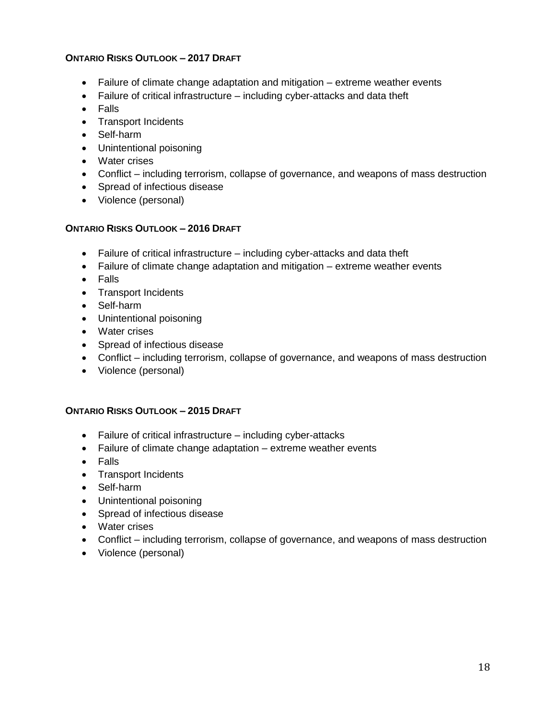### **ONTARIO RISKS OUTLOOK – 2017 DRAFT**

- Failure of climate change adaptation and mitigation extreme weather events
- Failure of critical infrastructure including cyber-attacks and data theft
- Falls
- Transport Incidents
- Self-harm
- Unintentional poisoning
- Water crises
- Conflict including terrorism, collapse of governance, and weapons of mass destruction
- Spread of infectious disease
- Violence (personal)

#### **ONTARIO RISKS OUTLOOK – 2016 DRAFT**

- Failure of critical infrastructure including cyber-attacks and data theft
- Failure of climate change adaptation and mitigation extreme weather events
- Falls
- Transport Incidents
- Self-harm
- Unintentional poisoning
- Water crises
- Spread of infectious disease
- Conflict including terrorism, collapse of governance, and weapons of mass destruction
- Violence (personal)

#### **ONTARIO RISKS OUTLOOK – 2015 DRAFT**

- Failure of critical infrastructure including cyber-attacks
- Failure of climate change adaptation extreme weather events
- Falls
- Transport Incidents
- Self-harm
- Unintentional poisoning
- Spread of infectious disease
- Water crises
- Conflict including terrorism, collapse of governance, and weapons of mass destruction
- Violence (personal)